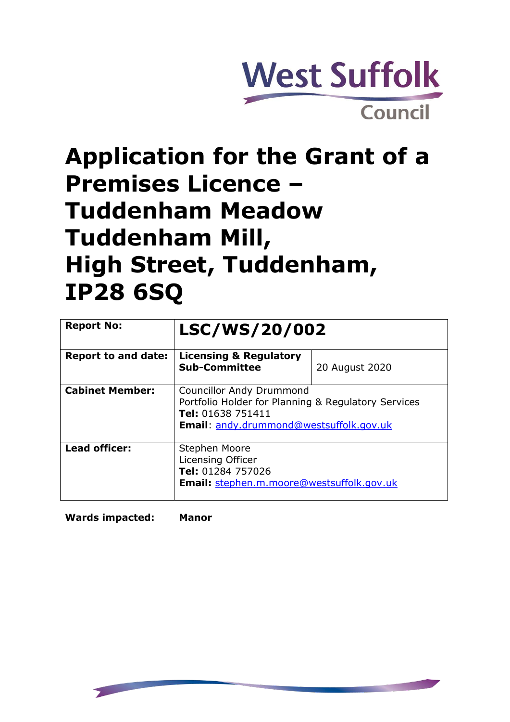

# **Application for the Grant of a Premises Licence – Tuddenham Meadow Tuddenham Mill, High Street, Tuddenham, IP28 6SQ**

| <b>Report No:</b>          | <b>LSC/WS/20/002</b>                                                                                                                                                 |                |
|----------------------------|----------------------------------------------------------------------------------------------------------------------------------------------------------------------|----------------|
| <b>Report to and date:</b> | <b>Licensing &amp; Regulatory</b><br><b>Sub-Committee</b>                                                                                                            | 20 August 2020 |
| <b>Cabinet Member:</b>     | <b>Councillor Andy Drummond</b><br>Portfolio Holder for Planning & Regulatory Services<br><b>Tel:</b> 01638 751411<br><b>Email:</b> andy.drummond@westsuffolk.gov.uk |                |
| <b>Lead officer:</b>       | Stephen Moore<br>Licensing Officer<br>Tel: 01284 757026<br><b>Email:</b> stephen.m.moore@westsuffolk.gov.uk                                                          |                |

**Wards impacted: Manor**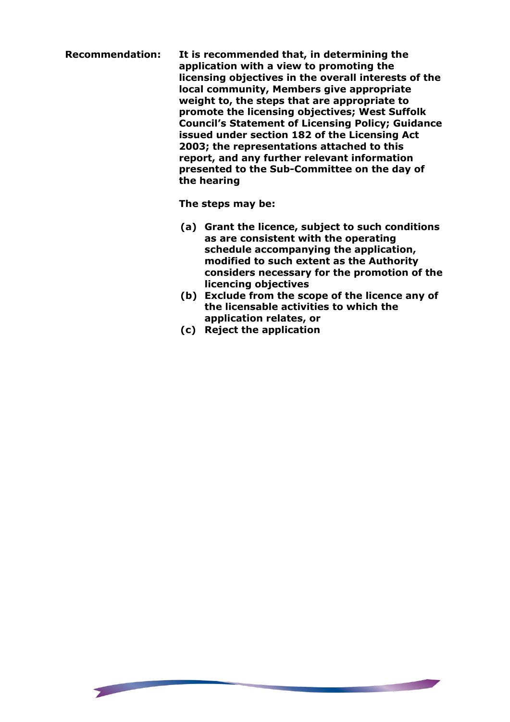**Recommendation: It is recommended that, in determining the application with a view to promoting the licensing objectives in the overall interests of the local community, Members give appropriate weight to, the steps that are appropriate to promote the licensing objectives; West Suffolk Council's Statement of Licensing Policy; Guidance issued under section 182 of the Licensing Act 2003; the representations attached to this report, and any further relevant information presented to the Sub-Committee on the day of the hearing**

**The steps may be:**

- **(a) Grant the licence, subject to such conditions as are consistent with the operating schedule accompanying the application, modified to such extent as the Authority considers necessary for the promotion of the licencing objectives**
- **(b) Exclude from the scope of the licence any of the licensable activities to which the application relates, or**

**THE PERSON NEWSFILM** 

**(c) Reject the application**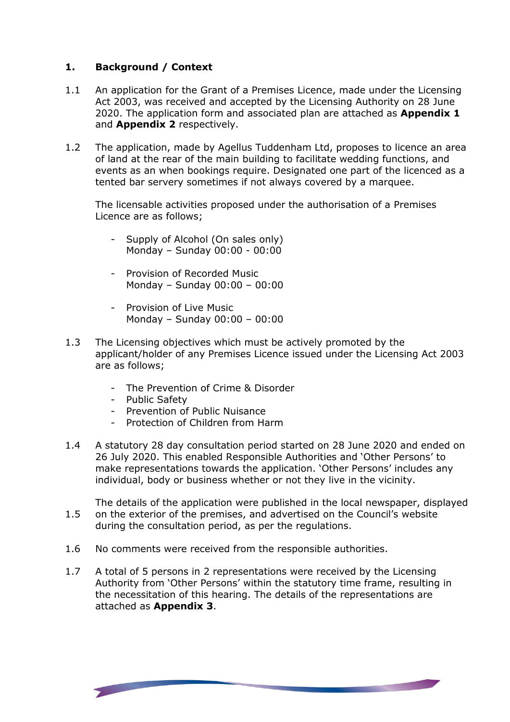## **1. Background / Context**

- 1.1 An application for the Grant of a Premises Licence, made under the Licensing Act 2003, was received and accepted by the Licensing Authority on 28 June 2020. The application form and associated plan are attached as **Appendix 1** and **Appendix 2** respectively.
- 1.2 The application, made by Agellus Tuddenham Ltd, proposes to licence an area of land at the rear of the main building to facilitate wedding functions, and events as an when bookings require. Designated one part of the licenced as a tented bar servery sometimes if not always covered by a marquee.

The licensable activities proposed under the authorisation of a Premises Licence are as follows;

- Supply of Alcohol (On sales only) Monday – Sunday 00:00 - 00:00
- Provision of Recorded Music Monday – Sunday 00:00 – 00:00
- Provision of Live Music Monday – Sunday 00:00 – 00:00
- 1.3 The Licensing objectives which must be actively promoted by the applicant/holder of any Premises Licence issued under the Licensing Act 2003 are as follows;
	- The Prevention of Crime & Disorder
	- Public Safety

- Prevention of Public Nuisance
- Protection of Children from Harm
- 1.4 A statutory 28 day consultation period started on 28 June 2020 and ended on 26 July 2020. This enabled Responsible Authorities and 'Other Persons' to make representations towards the application. 'Other Persons' includes any individual, body or business whether or not they live in the vicinity.

1.5 The details of the application were published in the local newspaper, displayed on the exterior of the premises, and advertised on the Council's website during the consultation period, as per the regulations.

- 1.6 No comments were received from the responsible authorities.
- 1.7 A total of 5 persons in 2 representations were received by the Licensing Authority from 'Other Persons' within the statutory time frame, resulting in the necessitation of this hearing. The details of the representations are attached as **Appendix 3**.

<u>a matang pang</u>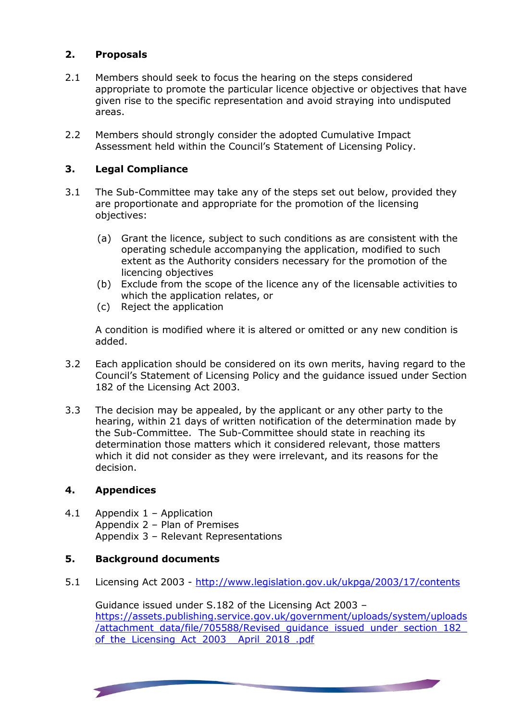#### **2. Proposals**

- 2.1 Members should seek to focus the hearing on the steps considered appropriate to promote the particular licence objective or objectives that have given rise to the specific representation and avoid straying into undisputed areas.
- 2.2 Members should strongly consider the adopted Cumulative Impact Assessment held within the Council's Statement of Licensing Policy.

#### **3. Legal Compliance**

- 3.1 The Sub-Committee may take any of the steps set out below, provided they are proportionate and appropriate for the promotion of the licensing objectives:
	- (a) Grant the licence, subject to such conditions as are consistent with the operating schedule accompanying the application, modified to such extent as the Authority considers necessary for the promotion of the licencing objectives
	- (b) Exclude from the scope of the licence any of the licensable activities to which the application relates, or
	- (c) Reject the application

A condition is modified where it is altered or omitted or any new condition is added.

- 3.2 Each application should be considered on its own merits, having regard to the Council's Statement of Licensing Policy and the guidance issued under Section 182 of the Licensing Act 2003.
- 3.3 The decision may be appealed, by the applicant or any other party to the hearing, within 21 days of written notification of the determination made by the Sub-Committee. The Sub-Committee should state in reaching its determination those matters which it considered relevant, those matters which it did not consider as they were irrelevant, and its reasons for the decision.

#### **4. Appendices**

4.1 Appendix 1 – Application Appendix 2 – Plan of Premises Appendix 3 – Relevant Representations

### **5. Background documents**

5.1 Licensing Act 2003 - <http://www.legislation.gov.uk/ukpga/2003/17/contents>

Guidance issued under S.182 of the Licensing Act 2003 – [https://assets.publishing.service.gov.uk/government/uploads/system/uploads](https://assets.publishing.service.gov.uk/government/uploads/system/uploads/attachment_data/file/705588/Revised_guidance_issued_under_section_182_of_the_Licensing_Act_2003__April_2018_.pdf) [/attachment\\_data/file/705588/Revised\\_guidance\\_issued\\_under\\_section\\_182\\_](https://assets.publishing.service.gov.uk/government/uploads/system/uploads/attachment_data/file/705588/Revised_guidance_issued_under_section_182_of_the_Licensing_Act_2003__April_2018_.pdf) of the Licensing Act 2003 April 2018 .pdf

<u> Maria Maria Alemania de Pa</u>